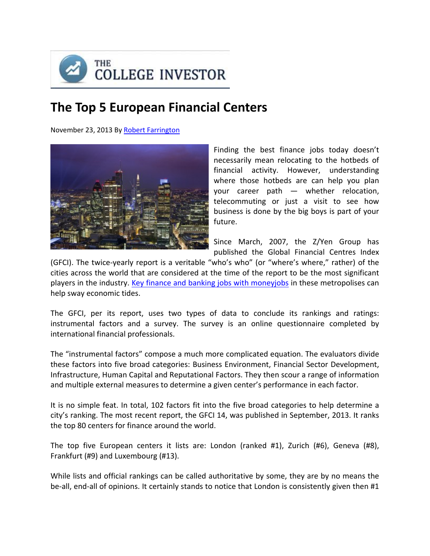

# **The Top 5 European Financial Centers**

November 23, 2013 By Robert Farrington



Finding the best finance jobs today doesn't necessarily mean relocating to the hotbeds of financial activity. However, understanding where those hotbeds are can help you plan your career path — whether relocation, telecommuting or just a visit to see how business is done by the big boys is part of your future.

Since March, 2007, the Z/Yen Group has published the Global Financial Centres Index

(GFCI). The twice‐yearly report is a veritable "who's who" (or "where's where," rather) of the cities across the world that are considered at the time of the report to be the most significant players in the industry. Key finance and banking jobs with moneyjobs in these metropolises can help sway economic tides.

The GFCI, per its report, uses two types of data to conclude its rankings and ratings: instrumental factors and a survey. The survey is an online questionnaire completed by international financial professionals.

The "instrumental factors" compose a much more complicated equation. The evaluators divide these factors into five broad categories: Business Environment, Financial Sector Development, Infrastructure, Human Capital and Reputational Factors. They then scour a range of information and multiple external measures to determine a given center's performance in each factor.

It is no simple feat. In total, 102 factors fit into the five broad categories to help determine a city's ranking. The most recent report, the GFCI 14, was published in September, 2013. It ranks the top 80 centers for finance around the world.

The top five European centers it lists are: London (ranked #1), Zurich (#6), Geneva (#8), Frankfurt (#9) and Luxembourg (#13).

While lists and official rankings can be called authoritative by some, they are by no means the be-all, end-all of opinions. It certainly stands to notice that London is consistently given then #1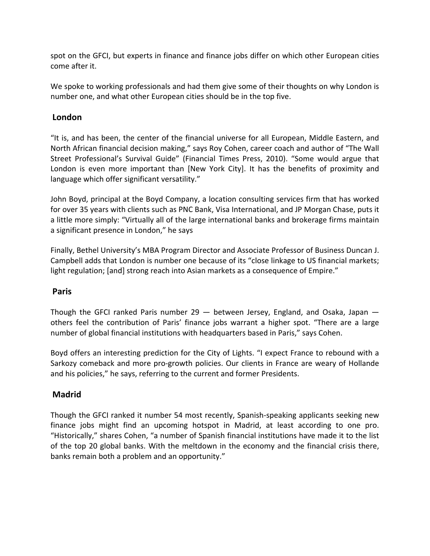spot on the GFCI, but experts in finance and finance jobs differ on which other European cities come after it.

We spoke to working professionals and had them give some of their thoughts on why London is number one, and what other European cities should be in the top five.

## **London**

"It is, and has been, the center of the financial universe for all European, Middle Eastern, and North African financial decision making," says Roy Cohen, career coach and author of "The Wall Street Professional's Survival Guide" (Financial Times Press, 2010). "Some would argue that London is even more important than [New York City]. It has the benefits of proximity and language which offer significant versatility."

John Boyd, principal at the Boyd Company, a location consulting services firm that has worked for over 35 years with clients such as PNC Bank, Visa International, and JP Morgan Chase, puts it a little more simply: "Virtually all of the large international banks and brokerage firms maintain a significant presence in London," he says

Finally, Bethel University's MBA Program Director and Associate Professor of Business Duncan J. Campbell adds that London is number one because of its "close linkage to US financial markets; light regulation; [and] strong reach into Asian markets as a consequence of Empire."

## **Paris**

Though the GFCI ranked Paris number  $29$  – between Jersey, England, and Osaka, Japan – others feel the contribution of Paris' finance jobs warrant a higher spot. "There are a large number of global financial institutions with headquarters based in Paris," says Cohen.

Boyd offers an interesting prediction for the City of Lights. "I expect France to rebound with a Sarkozy comeback and more pro‐growth policies. Our clients in France are weary of Hollande and his policies," he says, referring to the current and former Presidents.

## **Madrid**

Though the GFCI ranked it number 54 most recently, Spanish‐speaking applicants seeking new finance jobs might find an upcoming hotspot in Madrid, at least according to one pro. "Historically," shares Cohen, "a number of Spanish financial institutions have made it to the list of the top 20 global banks. With the meltdown in the economy and the financial crisis there, banks remain both a problem and an opportunity."